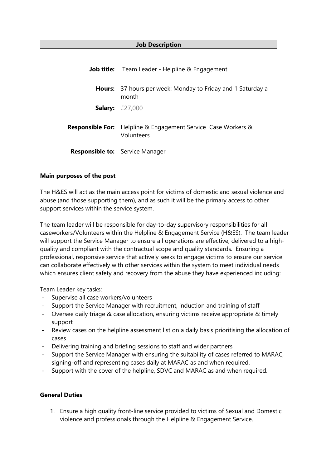#### **Job Description**

|        | <b>Job title:</b> Team Leader - Helpline & Engagement                              |
|--------|------------------------------------------------------------------------------------|
| Hours: | 37 hours per week: Monday to Friday and 1 Saturday a<br>month                      |
|        | <b>Salary:</b> $£27,000$                                                           |
|        | <b>Responsible For:</b> Helpline & Engagement Service Case Workers &<br>Volunteers |
|        | <b>Responsible to:</b> Service Manager                                             |

#### **Main purposes of the post**

The H&ES will act as the main access point for victims of domestic and sexual violence and abuse (and those supporting them), and as such it will be the primary access to other support services within the service system.

The team leader will be responsible for day-to-day supervisory responsibilities for all caseworkers/Volunteers within the Helpline & Engagement Service (H&ES). The team leader will support the Service Manager to ensure all operations are effective, delivered to a highquality and compliant with the contractual scope and quality standards. Ensuring a professional, responsive service that actively seeks to engage victims to ensure our service can collaborate effectively with other services within the system to meet individual needs which ensures client safety and recovery from the abuse they have experienced including:

Team Leader key tasks:

- Supervise all case workers/volunteers
- Support the Service Manager with recruitment, induction and training of staff
- Oversee daily triage & case allocation, ensuring victims receive appropriate & timely support
- Review cases on the helpline assessment list on a daily basis prioritising the allocation of cases
- Delivering training and briefing sessions to staff and wider partners
- Support the Service Manager with ensuring the suitability of cases referred to MARAC, signing-off and representing cases daily at MARAC as and when required.
- Support with the cover of the helpline, SDVC and MARAC as and when required.

## **General Duties**

1. Ensure a high quality front-line service provided to victims of Sexual and Domestic violence and professionals through the Helpline & Engagement Service.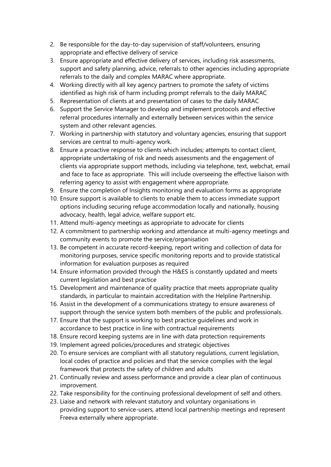- 2. Be responsible for the day-to-day supervision of staff/volunteers, ensuring appropriate and effective delivery of service
- 3. Ensure appropriate and effective delivery of services, including risk assessments, support and safety planning, advice, referrals to other agencies including appropriate referrals to the daily and complex MARAC where appropriate.
- 4. Working directly with all key agency partners to promote the safety of victims identified as high risk of harm including prompt referrals to the daily MARAC
- 5. Representation of clients at and presentation of cases to the daily MARAC
- 6. Support the Service Manager to develop and implement protocols and effective referral procedures internally and externally between services within the service system and other relevant agencies.
- 7. Working in partnership with statutory and voluntary agencies, ensuring that support services are central to multi-agency work.
- 8. Ensure a proactive response to clients which includes; attempts to contact client, appropriate undertaking of risk and needs assessments and the engagement of clients via appropriate support methods, including via telephone, text, webchat, email and face to face as appropriate. This will include overseeing the effective liaison with referring agency to assist with engagement where appropriate.
- 9. Ensure the completion of Insights monitoring and evaluation forms as appropriate
- 10. Ensure support is available to clients to enable them to access immediate support options including securing refuge accommodation locally and nationally, housing advocacy, health, legal advice, welfare support etc.
- 11. Attend multi-agency meetings as appropriate to advocate for clients
- 12. A commitment to partnership working and attendance at multi-agency meetings and community events to promote the service/organisation
- 13. Be competent in accurate record-keeping, report writing and collection of data for monitoring purposes, service specific monitoring reports and to provide statistical information for evaluation purposes as required
- 14. Ensure information provided through the H&ES is constantly updated and meets current legislation and best practice
- 15. Development and maintenance of quality practice that meets appropriate quality standards, in particular to maintain accreditation with the Helpline Partnership.
- 16. Assist in the development of a communications strategy to ensure awareness of support through the service system both members of the public and professionals.
- 17. Ensure that the support is working to best practice guidelines and work in accordance to best practice in line with contractual requirements
- 18. Ensure record keeping systems are in line with data protection requirements
- 19. Implement agreed policies/procedures and strategic objectives
- 20. To ensure services are compliant with all statutory regulations, current legislation, local codes of practice and policies and that the service complies with the legal framework that protects the safety of children and adults
- 21. Continually review and assess performance and provide a clear plan of continuous improvement.
- 22. Take responsibility for the continuing professional development of self and others.
- 23. Liaise and network with relevant statutory and voluntary organisations in providing support to service-users, attend local partnership meetings and represent Freeva externally where appropriate.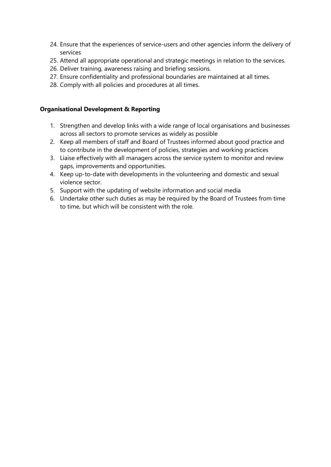- 24. Ensure that the experiences of service-users and other agencies inform the delivery of services
- 25. Attend all appropriate operational and strategic meetings in relation to the services.
- 26. Deliver training, awareness raising and briefing sessions.
- 27. Ensure confidentiality and professional boundaries are maintained at all times.
- 28. Comply with all policies and procedures at all times.

## **Organisational Development & Reporting**

- 1. Strengthen and develop links with a wide range of local organisations and businesses across all sectors to promote services as widely as possible
- 2. Keep all members of staff and Board of Trustees informed about good practice and to contribute in the development of policies, strategies and working practices
- 3. Liaise effectively with all managers across the service system to monitor and review gaps, improvements and opportunities.
- 4. Keep up-to-date with developments in the volunteering and domestic and sexual violence sector.
- 5. Support with the updating of website information and social media
- 6. Undertake other such duties as may be required by the Board of Trustees from time to time, but which will be consistent with the role.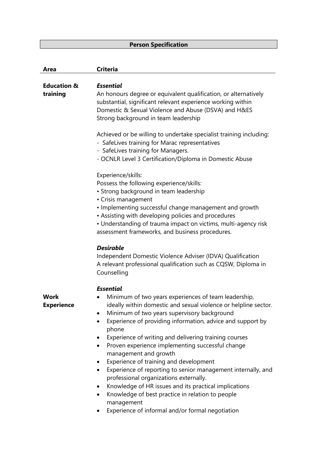# **Person Specification**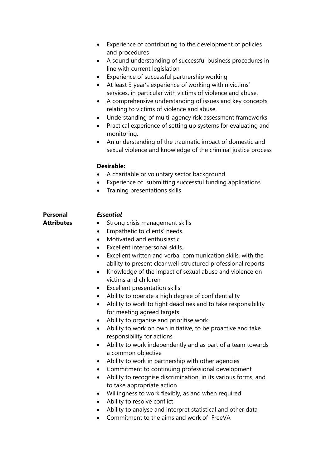|                                      | Experience of contributing to the development of policies<br>and procedures<br>A sound understanding of successful business procedures in<br>$\bullet$<br>line with current legislation<br>Experience of successful partnership working<br>$\bullet$<br>At least 3 year's experience of working within victims'<br>$\bullet$<br>services, in particular with victims of violence and abuse.<br>A comprehensive understanding of issues and key concepts<br>٠<br>relating to victims of violence and abuse.<br>Understanding of multi-agency risk assessment frameworks<br>٠<br>Practical experience of setting up systems for evaluating and<br>$\bullet$<br>monitoring.<br>An understanding of the traumatic impact of domestic and<br>٠<br>sexual violence and knowledge of the criminal justice process<br><b>Desirable:</b>                                                                                                                                                                                                                                                                                                                                                                                                                                                                                                                                             |
|--------------------------------------|-----------------------------------------------------------------------------------------------------------------------------------------------------------------------------------------------------------------------------------------------------------------------------------------------------------------------------------------------------------------------------------------------------------------------------------------------------------------------------------------------------------------------------------------------------------------------------------------------------------------------------------------------------------------------------------------------------------------------------------------------------------------------------------------------------------------------------------------------------------------------------------------------------------------------------------------------------------------------------------------------------------------------------------------------------------------------------------------------------------------------------------------------------------------------------------------------------------------------------------------------------------------------------------------------------------------------------------------------------------------------------|
|                                      | A charitable or voluntary sector background<br>Experience of submitting successful funding applications<br>$\bullet$<br>Training presentations skills<br>$\bullet$                                                                                                                                                                                                                                                                                                                                                                                                                                                                                                                                                                                                                                                                                                                                                                                                                                                                                                                                                                                                                                                                                                                                                                                                          |
| <b>Personal</b><br><b>Attributes</b> | <b>Essential</b><br>Strong crisis management skills<br>$\bullet$<br>Empathetic to clients' needs.<br>٠<br>Motivated and enthusiastic<br>$\bullet$<br>Excellent interpersonal skills.<br>$\bullet$<br>Excellent written and verbal communication skills, with the<br>$\bullet$<br>ability to present clear well-structured professional reports<br>Knowledge of the impact of sexual abuse and violence on<br>٠<br>victims and children<br>Excellent presentation skills<br>Ability to operate a high degree of confidentiality<br>$\bullet$<br>Ability to work to tight deadlines and to take responsibility<br>$\bullet$<br>for meeting agreed targets<br>Ability to organise and prioritise work<br>Ability to work on own initiative, to be proactive and take<br>$\bullet$<br>responsibility for actions<br>Ability to work independently and as part of a team towards<br>٠<br>a common objective<br>Ability to work in partnership with other agencies<br>Commitment to continuing professional development<br>$\bullet$<br>Ability to recognise discrimination, in its various forms, and<br>$\bullet$<br>to take appropriate action<br>Willingness to work flexibly, as and when required<br>٠<br>Ability to resolve conflict<br>$\bullet$<br>Ability to analyse and interpret statistical and other data<br>$\bullet$<br>Commitment to the aims and work of FreeVA |